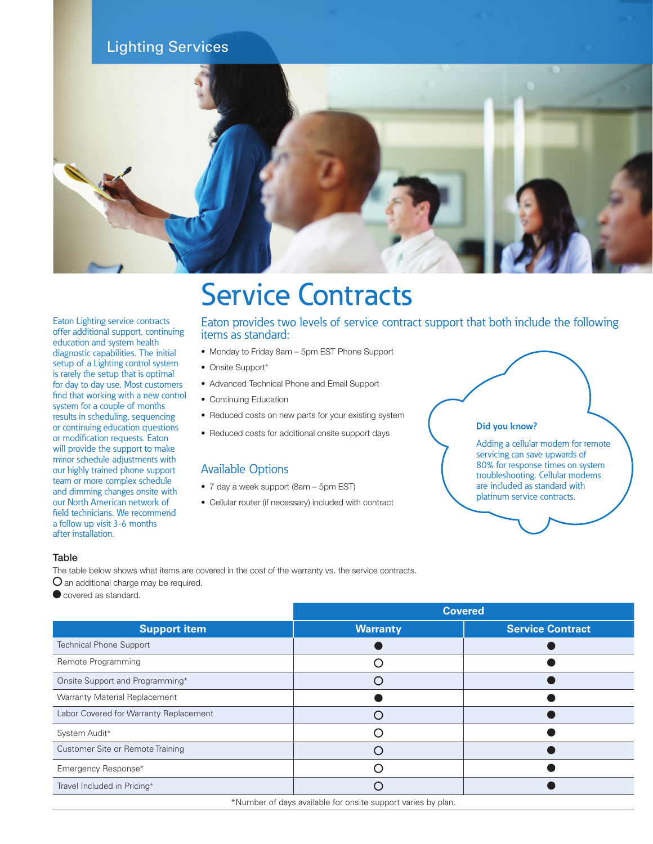# Lighting Services



# Service Contracts

Eaton Lighting service contracts offer additional support, continuing education and system health diagnostic capabilities. The initial setup of a Lighting control system is rarely the setup that is optimal for day to day use. Most customers find that working with a new control system for a couple of months results in scheduling, sequencing or continuing education questions or modification requests. Eaton will provide the support to make minor schedule adjustments with our highly trained phone support team or more complex schedule and dimming changes onsite with our North American network of field technicians. We recommend a follow up visit 3-6 months after installation.

Eaton provides two levels of service contract support that both include the following items as standard:

- Monday to Friday 8am 5pm EST Phone Support
- Onsite Support\*
- Advanced Technical Phone and Email Support
- Continuing Education
- Reduced costs on new parts for your existing system
- Reduced costs for additional onsite support days

# Available Options

- 7 day a week support (8am 5pm EST)
- Cellular router (if necessary) included with contract

#### **Did you know?**

Adding a cellular modem for remote servicing can save upwards of 80% for response times on system troubleshooting. Cellular modems are included as standard with platinum service contracts.

### **Table**

The table below shows what items are covered in the cost of the warranty vs. the service contracts.

O an additional charge may be required.

 $\bullet$  covered as standard.

|                                        | <b>Covered</b>  |                         |
|----------------------------------------|-----------------|-------------------------|
| <b>Support item</b>                    | <b>Warranty</b> | <b>Service Contract</b> |
| <b>Technical Phone Support</b>         |                 |                         |
| Remote Programming                     |                 |                         |
| Onsite Support and Programming*        |                 |                         |
| Warranty Material Replacement          |                 |                         |
| Labor Covered for Warranty Replacement |                 |                         |
| System Audit*                          |                 |                         |
| Customer Site or Remote Training       |                 |                         |
| Emergency Response*                    |                 |                         |
| Travel Included in Pricing*            |                 |                         |